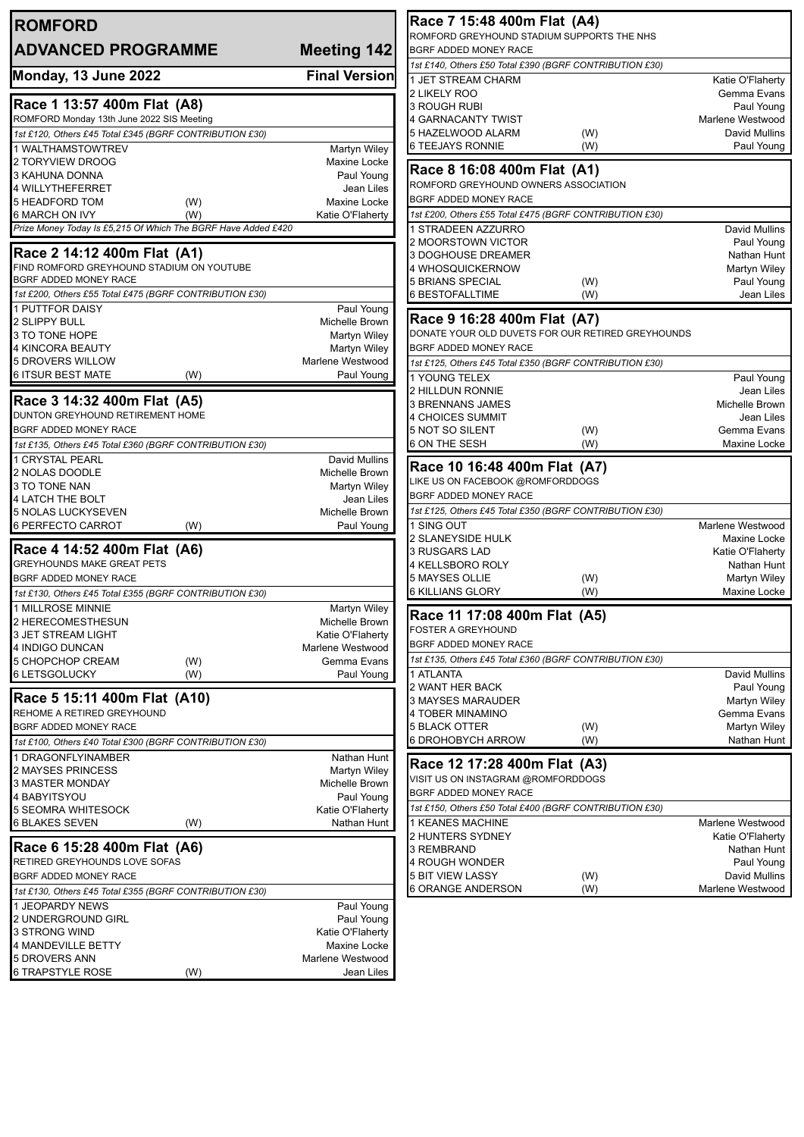| <b>ROMFORD</b>                                                |                                  | Race 7 15:48 400m Flat (A4)                                                |                                    |
|---------------------------------------------------------------|----------------------------------|----------------------------------------------------------------------------|------------------------------------|
| <b>ADVANCED PROGRAMME</b>                                     |                                  | ROMFORD GREYHOUND STADIUM SUPPORTS THE NHS<br><b>BGRF ADDED MONEY RACE</b> |                                    |
|                                                               | Meeting 142                      | 1st £140, Others £50 Total £390 (BGRF CONTRIBUTION £30)                    |                                    |
| Monday, 13 June 2022                                          | <b>Final Version</b>             | 1 JET STREAM CHARM                                                         | Katie O'Flaherty                   |
|                                                               |                                  | 2 LIKELY ROO                                                               | Gemma Evans                        |
| Race 1 13:57 400m Flat (A8)                                   |                                  | <b>3 ROUGH RUBI</b>                                                        | Paul Young                         |
| ROMFORD Monday 13th June 2022 SIS Meeting                     |                                  | 4 GARNACANTY TWIST                                                         | Marlene Westwood                   |
| 1st £120, Others £45 Total £345 (BGRF CONTRIBUTION £30)       |                                  | 5 HAZELWOOD ALARM<br>(W)<br><b>6 TEEJAYS RONNIE</b>                        | David Mullins                      |
| 1 WALTHAMSTOWTREV                                             | Martyn Wiley                     | (W)                                                                        | Paul Young                         |
| 2 TORYVIEW DROOG<br>3 KAHUNA DONNA                            | Maxine Locke<br>Paul Young       | Race 8 16:08 400m Flat (A1)                                                |                                    |
| 4 WILLYTHEFERRET                                              | Jean Liles                       | ROMFORD GREYHOUND OWNERS ASSOCIATION                                       |                                    |
| 5 HEADFORD TOM<br>(W)                                         | Maxine Locke                     | BGRF ADDED MONEY RACE                                                      |                                    |
| (W)<br>6 MARCH ON IVY                                         | Katie O'Flaherty                 | 1st £200, Others £55 Total £475 (BGRF CONTRIBUTION £30)                    |                                    |
| Prize Money Today Is £5,215 Of Which The BGRF Have Added £420 |                                  | 1 STRADEEN AZZURRO                                                         | David Mullins                      |
| Race 2 14:12 400m Flat (A1)                                   |                                  | 2 MOORSTOWN VICTOR                                                         | Paul Young                         |
| FIND ROMFORD GREYHOUND STADIUM ON YOUTUBE                     |                                  | 3 DOGHOUSE DREAMER<br>4 WHOSQUICKERNOW                                     | Nathan Hunt<br>Martyn Wiley        |
| BGRF ADDED MONEY RACE                                         |                                  | <b>5 BRIANS SPECIAL</b><br>(W)                                             | Paul Young                         |
| 1st £200, Others £55 Total £475 (BGRF CONTRIBUTION £30)       |                                  | (W)<br>6 BESTOFALLTIME                                                     | Jean Liles                         |
| <b>1 PUTTFOR DAISY</b>                                        | Paul Young                       |                                                                            |                                    |
| 2 SLIPPY BULL                                                 | <b>Michelle Brown</b>            | Race 9 16:28 400m Flat (A7)                                                |                                    |
| 3 TO TONE HOPE                                                | Martyn Wiley                     | DONATE YOUR OLD DUVETS FOR OUR RETIRED GREYHOUNDS                          |                                    |
| 4 KINCORA BEAUTY                                              | Martyn Wiley<br>Marlene Westwood | BGRF ADDED MONEY RACE                                                      |                                    |
| 5 DROVERS WILLOW<br>6 ITSUR BEST MATE<br>(W)                  | Paul Young                       | 1st £125, Others £45 Total £350 (BGRF CONTRIBUTION £30)                    |                                    |
|                                                               |                                  | 1 YOUNG TELEX<br>2 HILLDUN RONNIE                                          | Paul Young<br>Jean Liles           |
| Race 3 14:32 400m Flat (A5)                                   |                                  | <b>3 BRENNANS JAMES</b>                                                    | Michelle Brown                     |
| DUNTON GREYHOUND RETIREMENT HOME                              |                                  | <b>4 CHOICES SUMMIT</b>                                                    | Jean Liles                         |
| BGRF ADDED MONEY RACE                                         |                                  | 5 NOT SO SILENT<br>(W)                                                     | Gemma Evans                        |
| 1st £135, Others £45 Total £360 (BGRF CONTRIBUTION £30)       |                                  | 6 ON THE SESH<br>(W)                                                       | Maxine Locke                       |
| 1 CRYSTAL PEARL                                               | David Mullins                    | Race 10 16:48 400m Flat (A7)                                               |                                    |
| 2 NOLAS DOODLE                                                | Michelle Brown                   | LIKE US ON FACEBOOK @ROMFORDDOGS                                           |                                    |
| 3 TO TONE NAN<br>4 LATCH THE BOLT                             | Martyn Wiley<br>Jean Liles       | BGRF ADDED MONEY RACE                                                      |                                    |
| 5 NOLAS LUCKYSEVEN                                            | Michelle Brown                   | 1st £125, Others £45 Total £350 (BGRF CONTRIBUTION £30)                    |                                    |
| 6 PERFECTO CARROT<br>(W)                                      | Paul Young                       | 1 SING OUT                                                                 | Marlene Westwood                   |
|                                                               |                                  | <b>2 SLANEYSIDE HULK</b>                                                   | Maxine Locke                       |
| Race 4 14:52 400m Flat (A6)<br>GREYHOUNDS MAKE GREAT PETS     |                                  | 3 RUSGARS LAD                                                              | Katie O'Flaherty                   |
| BGRF ADDED MONEY RACE                                         |                                  | 4 KELLSBORO ROLY<br>5 MAYSES OLLIE<br>(W)                                  | Nathan Hunt<br><b>Martyn Wiley</b> |
| 1st £130, Others £45 Total £355 (BGRF CONTRIBUTION £30)       |                                  | <b>6 KILLIANS GLORY</b><br>(W)                                             | Maxine Locke                       |
| 1 MILLROSE MINNIE                                             | Martyn Wiley                     |                                                                            |                                    |
| 2 HERECOMESTHESUN                                             | Michelle Brown                   | Race 11 17:08 400m Flat (A5)                                               |                                    |
| 3 JET STREAM LIGHT                                            | Katie O'Flaherty                 | <b>FOSTER A GREYHOUND</b>                                                  |                                    |
| 4 INDIGO DUNCAN                                               | Marlene Westwood                 | BGRF ADDED MONEY RACE                                                      |                                    |
| 5 CHOPCHOP CREAM<br>(W)                                       | Gemma Evans                      | 1st £135, Others £45 Total £360 (BGRF CONTRIBUTION £30)                    |                                    |
| <b>6 LETSGOLUCKY</b><br>(W)                                   | Paul Young                       | 1 ATLANTA<br>2 WANT HER BACK                                               | David Mullins                      |
| Race 5 15:11 400m Flat (A10)                                  |                                  | 3 MAYSES MARAUDER                                                          | Paul Young<br>Martyn Wiley         |
| REHOME A RETIRED GREYHOUND                                    |                                  | 4 TOBER MINAMINO                                                           | Gemma Evans                        |
| BGRF ADDED MONEY RACE                                         |                                  | <b>5 BLACK OTTER</b><br>(W)                                                | Martyn Wiley                       |
| 1st £100, Others £40 Total £300 (BGRF CONTRIBUTION £30)       |                                  | 6 DROHOBYCH ARROW<br>(W)                                                   | Nathan Hunt                        |
| 1 DRAGONFLYINAMBER                                            | Nathan Hunt                      | Race 12 17:28 400m Flat (A3)                                               |                                    |
| 2 MAYSES PRINCESS                                             | Martyn Wiley                     | VISIT US ON INSTAGRAM @ROMFORDDOGS                                         |                                    |
| 3 MASTER MONDAY                                               | Michelle Brown                   | BGRF ADDED MONEY RACE                                                      |                                    |
| 4 BABYITSYOU<br>5 SEOMRA WHITESOCK                            | Paul Young<br>Katie O'Flaherty   | 1st £150, Others £50 Total £400 (BGRF CONTRIBUTION £30)                    |                                    |
| 6 BLAKES SEVEN<br>(W)                                         | Nathan Hunt                      | 1 KEANES MACHINE                                                           | Marlene Westwood                   |
|                                                               |                                  | 2 HUNTERS SYDNEY                                                           | Katie O'Flaherty                   |
| Race 6 15:28 400m Flat (A6)                                   |                                  | 3 REMBRAND                                                                 | Nathan Hunt                        |
| RETIRED GREYHOUNDS LOVE SOFAS                                 |                                  | 4 ROUGH WONDER                                                             | Paul Young                         |
| BGRF ADDED MONEY RACE                                         |                                  | <b>5 BIT VIEW LASSY</b><br>(W)                                             | David Mullins                      |
| 1st £130, Others £45 Total £355 (BGRF CONTRIBUTION £30)       |                                  | <b>6 ORANGE ANDERSON</b><br>(W)                                            | Marlene Westwood                   |
| 1 JEOPARDY NEWS                                               | Paul Young<br>Paul Young         |                                                                            |                                    |
| 2 UNDERGROUND GIRL<br>3 STRONG WIND                           | Katie O'Flaherty                 |                                                                            |                                    |
| 4 MANDEVILLE BETTY                                            | Maxine Locke                     |                                                                            |                                    |
| 5 DROVERS ANN                                                 | Marlene Westwood                 |                                                                            |                                    |
| <b>6 TRAPSTYLE ROSE</b><br>(W)                                | Jean Liles                       |                                                                            |                                    |
|                                                               |                                  |                                                                            |                                    |